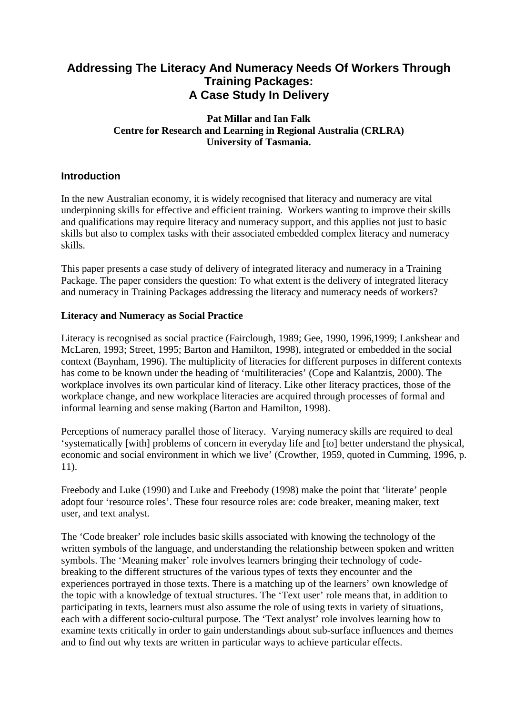# **Addressing The Literacy And Numeracy Needs Of Workers Through Training Packages: A Case Study In Delivery**

### **Pat Millar and Ian Falk Centre for Research and Learning in Regional Australia (CRLRA) University of Tasmania.**

# **Introduction**

In the new Australian economy, it is widely recognised that literacy and numeracy are vital underpinning skills for effective and efficient training. Workers wanting to improve their skills and qualifications may require literacy and numeracy support, and this applies not just to basic skills but also to complex tasks with their associated embedded complex literacy and numeracy skills.

This paper presents a case study of delivery of integrated literacy and numeracy in a Training Package. The paper considers the question: To what extent is the delivery of integrated literacy and numeracy in Training Packages addressing the literacy and numeracy needs of workers?

### **Literacy and Numeracy as Social Practice**

Literacy is recognised as social practice (Fairclough, 1989; Gee, 1990, 1996,1999; Lankshear and McLaren, 1993; Street, 1995; Barton and Hamilton, 1998), integrated or embedded in the social context (Baynham, 1996). The multiplicity of literacies for different purposes in different contexts has come to be known under the heading of 'multiliteracies' (Cope and Kalantzis, 2000). The workplace involves its own particular kind of literacy. Like other literacy practices, those of the workplace change, and new workplace literacies are acquired through processes of formal and informal learning and sense making (Barton and Hamilton, 1998).

Perceptions of numeracy parallel those of literacy. Varying numeracy skills are required to deal 'systematically [with] problems of concern in everyday life and [to] better understand the physical, economic and social environment in which we live' (Crowther, 1959, quoted in Cumming, 1996, p. 11).

Freebody and Luke (1990) and Luke and Freebody (1998) make the point that 'literate' people adopt four 'resource roles'. These four resource roles are: code breaker, meaning maker, text user, and text analyst.

The 'Code breaker' role includes basic skills associated with knowing the technology of the written symbols of the language, and understanding the relationship between spoken and written symbols. The 'Meaning maker' role involves learners bringing their technology of codebreaking to the different structures of the various types of texts they encounter and the experiences portrayed in those texts. There is a matching up of the learners' own knowledge of the topic with a knowledge of textual structures. The 'Text user' role means that, in addition to participating in texts, learners must also assume the role of using texts in variety of situations, each with a different socio-cultural purpose. The 'Text analyst' role involves learning how to examine texts critically in order to gain understandings about sub-surface influences and themes and to find out why texts are written in particular ways to achieve particular effects.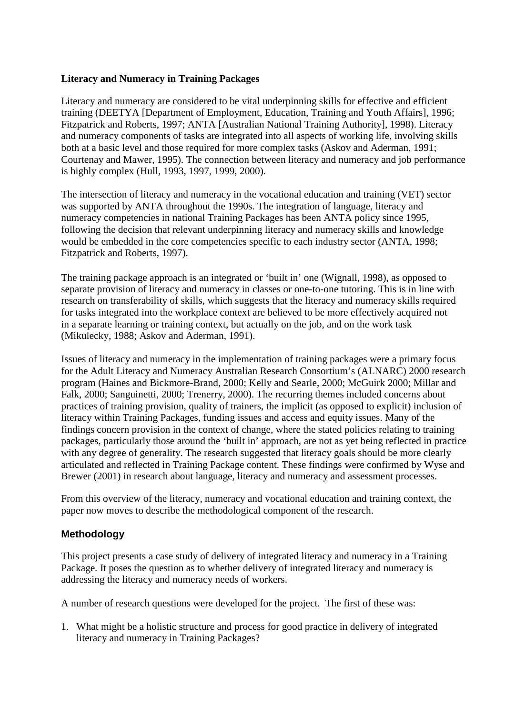#### **Literacy and Numeracy in Training Packages**

Literacy and numeracy are considered to be vital underpinning skills for effective and efficient training (DEETYA [Department of Employment, Education, Training and Youth Affairs], 1996; Fitzpatrick and Roberts, 1997; ANTA [Australian National Training Authority], 1998). Literacy and numeracy components of tasks are integrated into all aspects of working life, involving skills both at a basic level and those required for more complex tasks (Askov and Aderman, 1991; Courtenay and Mawer, 1995). The connection between literacy and numeracy and job performance is highly complex (Hull, 1993, 1997, 1999, 2000).

The intersection of literacy and numeracy in the vocational education and training (VET) sector was supported by ANTA throughout the 1990s. The integration of language, literacy and numeracy competencies in national Training Packages has been ANTA policy since 1995, following the decision that relevant underpinning literacy and numeracy skills and knowledge would be embedded in the core competencies specific to each industry sector (ANTA, 1998; Fitzpatrick and Roberts, 1997).

The training package approach is an integrated or 'built in' one (Wignall, 1998), as opposed to separate provision of literacy and numeracy in classes or one-to-one tutoring. This is in line with research on transferability of skills, which suggests that the literacy and numeracy skills required for tasks integrated into the workplace context are believed to be more effectively acquired not in a separate learning or training context, but actually on the job, and on the work task (Mikulecky, 1988; Askov and Aderman, 1991).

Issues of literacy and numeracy in the implementation of training packages were a primary focus for the Adult Literacy and Numeracy Australian Research Consortium's (ALNARC) 2000 research program (Haines and Bickmore-Brand, 2000; Kelly and Searle, 2000; McGuirk 2000; Millar and Falk, 2000; Sanguinetti, 2000; Trenerry, 2000). The recurring themes included concerns about practices of training provision, quality of trainers, the implicit (as opposed to explicit) inclusion of literacy within Training Packages, funding issues and access and equity issues. Many of the findings concern provision in the context of change, where the stated policies relating to training packages, particularly those around the 'built in' approach, are not as yet being reflected in practice with any degree of generality. The research suggested that literacy goals should be more clearly articulated and reflected in Training Package content. These findings were confirmed by Wyse and Brewer (2001) in research about language, literacy and numeracy and assessment processes.

From this overview of the literacy, numeracy and vocational education and training context, the paper now moves to describe the methodological component of the research.

# **Methodology**

This project presents a case study of delivery of integrated literacy and numeracy in a Training Package. It poses the question as to whether delivery of integrated literacy and numeracy is addressing the literacy and numeracy needs of workers.

A number of research questions were developed for the project. The first of these was:

1. What might be a holistic structure and process for good practice in delivery of integrated literacy and numeracy in Training Packages?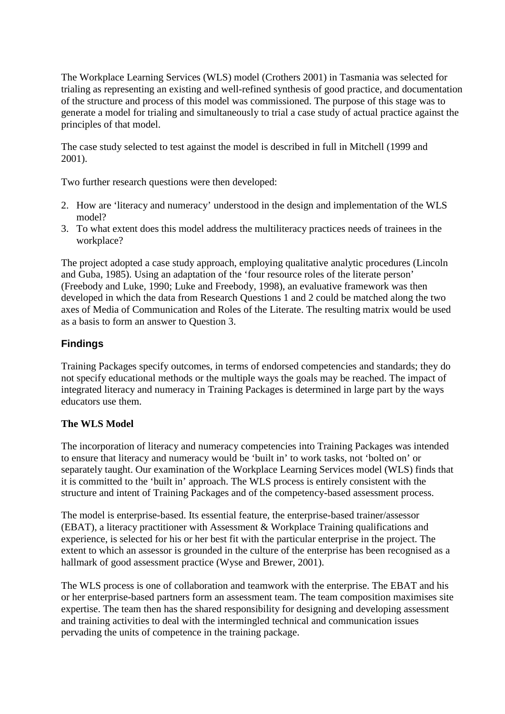The Workplace Learning Services (WLS) model (Crothers 2001) in Tasmania was selected for trialing as representing an existing and well-refined synthesis of good practice, and documentation of the structure and process of this model was commissioned. The purpose of this stage was to generate a model for trialing and simultaneously to trial a case study of actual practice against the principles of that model.

The case study selected to test against the model is described in full in Mitchell (1999 and 2001).

Two further research questions were then developed:

- 2. How are 'literacy and numeracy' understood in the design and implementation of the WLS model?
- 3. To what extent does this model address the multiliteracy practices needs of trainees in the workplace?

The project adopted a case study approach, employing qualitative analytic procedures (Lincoln and Guba, 1985). Using an adaptation of the 'four resource roles of the literate person' (Freebody and Luke, 1990; Luke and Freebody, 1998), an evaluative framework was then developed in which the data from Research Questions 1 and 2 could be matched along the two axes of Media of Communication and Roles of the Literate. The resulting matrix would be used as a basis to form an answer to Question 3.

# **Findings**

Training Packages specify outcomes, in terms of endorsed competencies and standards; they do not specify educational methods or the multiple ways the goals may be reached. The impact of integrated literacy and numeracy in Training Packages is determined in large part by the ways educators use them.

# **The WLS Model**

The incorporation of literacy and numeracy competencies into Training Packages was intended to ensure that literacy and numeracy would be 'built in' to work tasks, not 'bolted on' or separately taught. Our examination of the Workplace Learning Services model (WLS) finds that it is committed to the 'built in' approach. The WLS process is entirely consistent with the structure and intent of Training Packages and of the competency-based assessment process.

The model is enterprise-based. Its essential feature, the enterprise-based trainer/assessor (EBAT), a literacy practitioner with Assessment & Workplace Training qualifications and experience, is selected for his or her best fit with the particular enterprise in the project. The extent to which an assessor is grounded in the culture of the enterprise has been recognised as a hallmark of good assessment practice (Wyse and Brewer, 2001).

The WLS process is one of collaboration and teamwork with the enterprise. The EBAT and his or her enterprise-based partners form an assessment team. The team composition maximises site expertise. The team then has the shared responsibility for designing and developing assessment and training activities to deal with the intermingled technical and communication issues pervading the units of competence in the training package.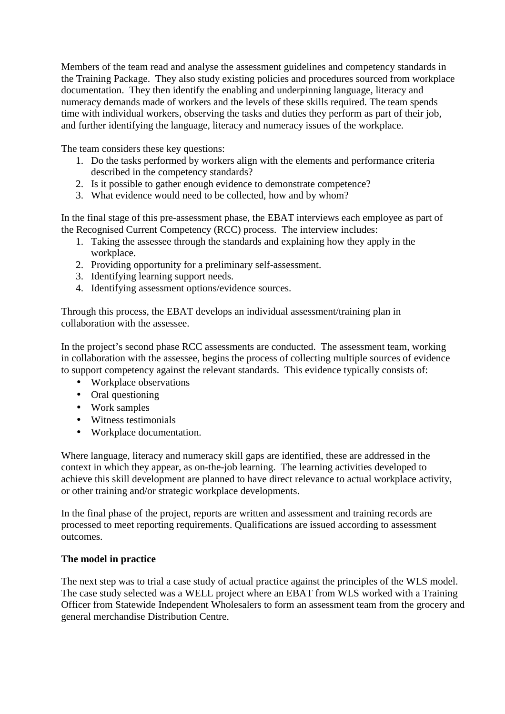Members of the team read and analyse the assessment guidelines and competency standards in the Training Package. They also study existing policies and procedures sourced from workplace documentation. They then identify the enabling and underpinning language, literacy and numeracy demands made of workers and the levels of these skills required. The team spends time with individual workers, observing the tasks and duties they perform as part of their job, and further identifying the language, literacy and numeracy issues of the workplace.

The team considers these key questions:

- 1. Do the tasks performed by workers align with the elements and performance criteria described in the competency standards?
- 2. Is it possible to gather enough evidence to demonstrate competence?
- 3. What evidence would need to be collected, how and by whom?

In the final stage of this pre-assessment phase, the EBAT interviews each employee as part of the Recognised Current Competency (RCC) process. The interview includes:

- 1. Taking the assessee through the standards and explaining how they apply in the workplace.
- 2. Providing opportunity for a preliminary self-assessment.
- 3. Identifying learning support needs.
- 4. Identifying assessment options/evidence sources.

Through this process, the EBAT develops an individual assessment/training plan in collaboration with the assessee.

In the project's second phase RCC assessments are conducted. The assessment team, working in collaboration with the assessee, begins the process of collecting multiple sources of evidence to support competency against the relevant standards. This evidence typically consists of:

- Workplace observations
- Oral questioning
- Work samples
- Witness testimonials
- Workplace documentation.

Where language, literacy and numeracy skill gaps are identified, these are addressed in the context in which they appear, as on-the-job learning. The learning activities developed to achieve this skill development are planned to have direct relevance to actual workplace activity, or other training and/or strategic workplace developments.

In the final phase of the project, reports are written and assessment and training records are processed to meet reporting requirements. Qualifications are issued according to assessment outcomes.

# **The model in practice**

The next step was to trial a case study of actual practice against the principles of the WLS model. The case study selected was a WELL project where an EBAT from WLS worked with a Training Officer from Statewide Independent Wholesalers to form an assessment team from the grocery and general merchandise Distribution Centre.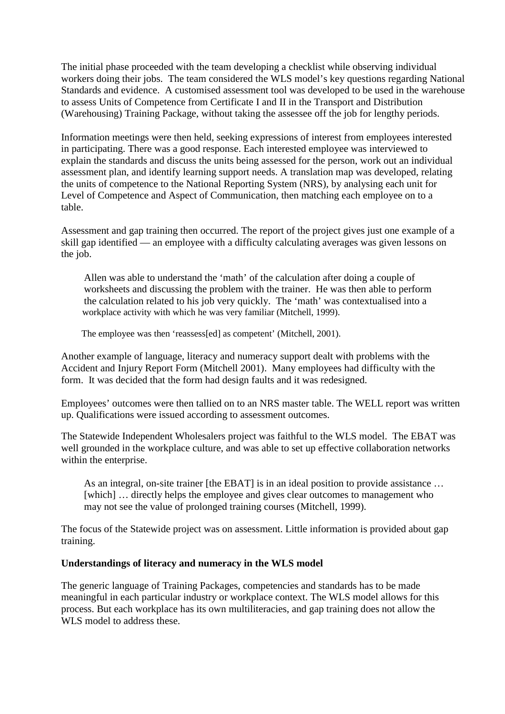The initial phase proceeded with the team developing a checklist while observing individual workers doing their jobs. The team considered the WLS model's key questions regarding National Standards and evidence. A customised assessment tool was developed to be used in the warehouse to assess Units of Competence from Certificate I and II in the Transport and Distribution (Warehousing) Training Package, without taking the assessee off the job for lengthy periods.

Information meetings were then held, seeking expressions of interest from employees interested in participating. There was a good response. Each interested employee was interviewed to explain the standards and discuss the units being assessed for the person, work out an individual assessment plan, and identify learning support needs. A translation map was developed, relating the units of competence to the National Reporting System (NRS), by analysing each unit for Level of Competence and Aspect of Communication, then matching each employee on to a table.

Assessment and gap training then occurred. The report of the project gives just one example of a skill gap identified — an employee with a difficulty calculating averages was given lessons on the job.

 Allen was able to understand the 'math' of the calculation after doing a couple of worksheets and discussing the problem with the trainer. He was then able to perform the calculation related to his job very quickly. The 'math' was contextualised into a workplace activity with which he was very familiar (Mitchell, 1999).

The employee was then 'reassess[ed] as competent' (Mitchell, 2001).

Another example of language, literacy and numeracy support dealt with problems with the Accident and Injury Report Form (Mitchell 2001). Many employees had difficulty with the form. It was decided that the form had design faults and it was redesigned.

Employees' outcomes were then tallied on to an NRS master table. The WELL report was written up. Qualifications were issued according to assessment outcomes.

The Statewide Independent Wholesalers project was faithful to the WLS model. The EBAT was well grounded in the workplace culture, and was able to set up effective collaboration networks within the enterprise.

 As an integral, on-site trainer [the EBAT] is in an ideal position to provide assistance … [which] ... directly helps the employee and gives clear outcomes to management who may not see the value of prolonged training courses (Mitchell, 1999).

The focus of the Statewide project was on assessment. Little information is provided about gap training.

#### **Understandings of literacy and numeracy in the WLS model**

The generic language of Training Packages, competencies and standards has to be made meaningful in each particular industry or workplace context. The WLS model allows for this process. But each workplace has its own multiliteracies, and gap training does not allow the WLS model to address these.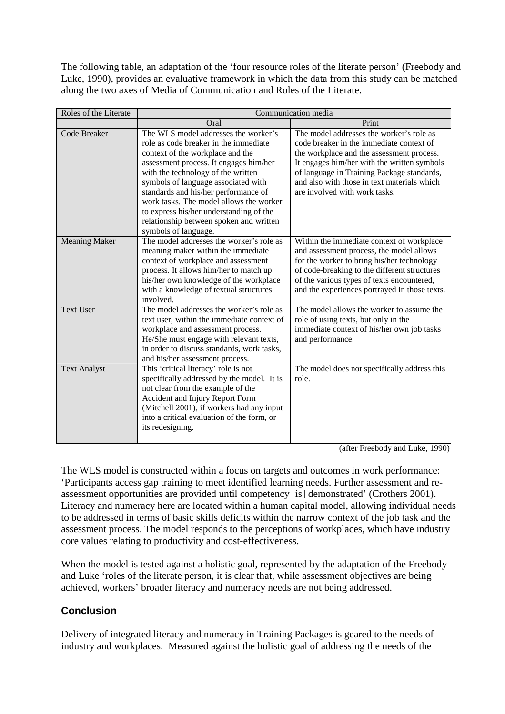The following table, an adaptation of the 'four resource roles of the literate person' (Freebody and Luke, 1990), provides an evaluative framework in which the data from this study can be matched along the two axes of Media of Communication and Roles of the Literate.

| Roles of the Literate | Communication media                                                                                                                                                                                                                                                                                                                                                                                                                       |                                                                                                                                                                                                                                                                                                                |
|-----------------------|-------------------------------------------------------------------------------------------------------------------------------------------------------------------------------------------------------------------------------------------------------------------------------------------------------------------------------------------------------------------------------------------------------------------------------------------|----------------------------------------------------------------------------------------------------------------------------------------------------------------------------------------------------------------------------------------------------------------------------------------------------------------|
|                       | Oral                                                                                                                                                                                                                                                                                                                                                                                                                                      | Print                                                                                                                                                                                                                                                                                                          |
| Code Breaker          | The WLS model addresses the worker's<br>role as code breaker in the immediate<br>context of the workplace and the<br>assessment process. It engages him/her<br>with the technology of the written<br>symbols of language associated with<br>standards and his/her performance of<br>work tasks. The model allows the worker<br>to express his/her understanding of the<br>relationship between spoken and written<br>symbols of language. | The model addresses the worker's role as<br>code breaker in the immediate context of<br>the workplace and the assessment process.<br>It engages him/her with the written symbols<br>of language in Training Package standards,<br>and also with those in text materials which<br>are involved with work tasks. |
| <b>Meaning Maker</b>  | The model addresses the worker's role as<br>meaning maker within the immediate<br>context of workplace and assessment<br>process. It allows him/her to match up<br>his/her own knowledge of the workplace<br>with a knowledge of textual structures<br>involved.                                                                                                                                                                          | Within the immediate context of workplace<br>and assessment process, the model allows<br>for the worker to bring his/her technology<br>of code-breaking to the different structures<br>of the various types of texts encountered,<br>and the experiences portrayed in those texts.                             |
| <b>Text User</b>      | The model addresses the worker's role as<br>text user, within the immediate context of<br>workplace and assessment process.<br>He/She must engage with relevant texts,<br>in order to discuss standards, work tasks,<br>and his/her assessment process.                                                                                                                                                                                   | The model allows the worker to assume the<br>role of using texts, but only in the<br>immediate context of his/her own job tasks<br>and performance.                                                                                                                                                            |
| <b>Text Analyst</b>   | This 'critical literacy' role is not<br>specifically addressed by the model. It is<br>not clear from the example of the<br>Accident and Injury Report Form<br>(Mitchell 2001), if workers had any input<br>into a critical evaluation of the form, or<br>its redesigning.                                                                                                                                                                 | The model does not specifically address this<br>role.                                                                                                                                                                                                                                                          |

(after Freebody and Luke, 1990)

The WLS model is constructed within a focus on targets and outcomes in work performance: 'Participants access gap training to meet identified learning needs. Further assessment and reassessment opportunities are provided until competency [is] demonstrated' (Crothers 2001). Literacy and numeracy here are located within a human capital model, allowing individual needs to be addressed in terms of basic skills deficits within the narrow context of the job task and the assessment process. The model responds to the perceptions of workplaces, which have industry core values relating to productivity and cost-effectiveness.

When the model is tested against a holistic goal, represented by the adaptation of the Freebody and Luke 'roles of the literate person, it is clear that, while assessment objectives are being achieved, workers' broader literacy and numeracy needs are not being addressed.

# **Conclusion**

Delivery of integrated literacy and numeracy in Training Packages is geared to the needs of industry and workplaces. Measured against the holistic goal of addressing the needs of the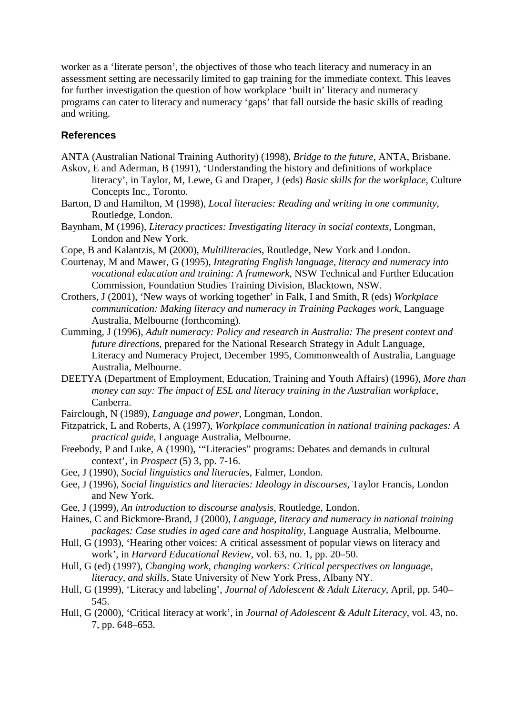worker as a 'literate person', the objectives of those who teach literacy and numeracy in an assessment setting are necessarily limited to gap training for the immediate context. This leaves for further investigation the question of how workplace 'built in' literacy and numeracy programs can cater to literacy and numeracy 'gaps' that fall outside the basic skills of reading and writing.

### **References**

- ANTA (Australian National Training Authority) (1998), *Bridge to the future*, ANTA, Brisbane.
- Askov, E and Aderman, B (1991), 'Understanding the history and definitions of workplace literacy', in Taylor, M, Lewe, G and Draper, J (eds) *Basic skills for the workplace,* Culture Concepts Inc., Toronto.
- Barton, D and Hamilton, M (1998), *Local literacies: Reading and writing in one community*, Routledge, London.
- Baynham, M (1996), *Literacy practices: Investigating literacy in social contexts*, Longman, London and New York.
- Cope, B and Kalantzis, M (2000), *Multiliteracies*, Routledge, New York and London.
- Courtenay, M and Mawer, G (1995), *Integrating English language, literacy and numeracy into vocational education and training: A framework*, NSW Technical and Further Education Commission, Foundation Studies Training Division, Blacktown, NSW.
- Crothers, J (2001), 'New ways of working together' in Falk, I and Smith, R (eds) *Workplace communication: Making literacy and numeracy in Training Packages work*, Language Australia, Melbourne (forthcoming).
- Cumming, J (1996), *Adult numeracy: Policy and research in Australia: The present context and future directions*, prepared for the National Research Strategy in Adult Language, Literacy and Numeracy Project, December 1995, Commonwealth of Australia, Language Australia, Melbourne.
- DEETYA (Department of Employment, Education, Training and Youth Affairs) (1996), *More than money can say: The impact of ESL and literacy training in the Australian workplace*, Canberra.
- Fairclough, N (1989), *Language and power*, Longman, London.
- Fitzpatrick, L and Roberts, A (1997), *Workplace communication in national training packages: A practical guide*, Language Australia, Melbourne.
- Freebody, P and Luke, A (1990), '"Literacies" programs: Debates and demands in cultural context', in *Prospect* (5) 3, pp. 7-16.
- Gee, J (1990), *Social linguistics and literacies*, Falmer, London.
- Gee, J (1996), *Social linguistics and literacies: Ideology in discourses,* Taylor Francis, London and New York.
- Gee, J (1999), *An introduction to discourse analysis*, Routledge, London.
- Haines, C and Bickmore-Brand, J (2000), *Language, literacy and numeracy in national training packages: Case studies in aged care and hospitality*, Language Australia, Melbourne.
- Hull, G (1993), 'Hearing other voices: A critical assessment of popular views on literacy and work', in *Harvard Educational Review*, vol. 63, no. 1, pp. 20–50.
- Hull, G (ed) (1997), *Changing work, changing workers: Critical perspectives on language, literacy, and skills*, State University of New York Press, Albany NY.
- Hull, G (1999), 'Literacy and labeling', *Journal of Adolescent & Adult Literacy*, April, pp. 540– 545.
- Hull, G (2000), 'Critical literacy at work', in *Journal of Adolescent & Adult Literacy*, vol. 43, no. 7, pp. 648–653.